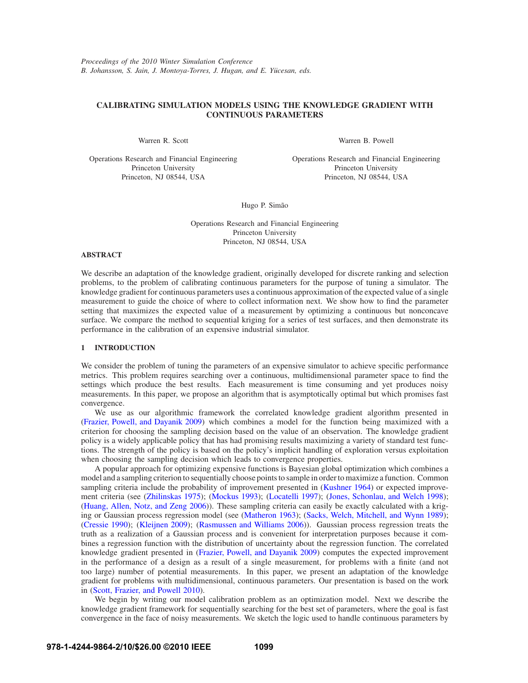# **CALIBRATING SIMULATION MODELS USING THE KNOWLEDGE GRADIENT WITH CONTINUOUS PARAMETERS**

Warren R. Scott

Warren B. Powell

Operations Research and Financial Engineering Princeton University Princeton, NJ 08544, USA

Operations Research and Financial Engineering Princeton University Princeton, NJ 08544, USA

Hugo P. Simão

Operations Research and Financial Engineering Princeton University Princeton, NJ 08544, USA

# **ABSTRACT**

We describe an adaptation of the knowledge gradient, originally developed for discrete ranking and selection problems, to the problem of calibrating continuous parameters for the purpose of tuning a simulator. The knowledge gradient for continuous parameters uses a continuous approximation of the expected value of a single measurement to guide the choice of where to collect information next. We show how to find the parameter setting that maximizes the expected value of a measurement by optimizing a continuous but nonconcave surface. We compare the method to sequential kriging for a series of test surfaces, and then demonstrate its performance in the calibration of an expensive industrial simulator.

## **1 INTRODUCTION**

We consider the problem of tuning the parameters of an expensive simulator to achieve specific performance metrics. This problem requires searching over a continuous, multidimensional parameter space to find the settings which produce the best results. Each measurement is time consuming and yet produces noisy measurements. In this paper, we propose an algorithm that is asymptotically optimal but which promises fast convergence.

We use as our algorithmic framework the correlated knowledge gradient algorithm presented in (Frazier, Powell, and Dayanik 2009) which combines a model for the function being maximized with a criterion for choosing the sampling decision based on the value of an observation. The knowledge gradient policy is a widely applicable policy that has had promising results maximizing a variety of standard test functions. The strength of the policy is based on the policy's implicit handling of exploration versus exploitation when choosing the sampling decision which leads to convergence properties.

A popular approach for optimizing expensive functions is Bayesian global optimization which combines a model and a sampling criterion to sequentially choose points to sample in order to maximize a function. Common sampling criteria include the probability of improvement presented in (Kushner 1964) or expected improvement criteria (see (Zhilinskas 1975); (Mockus 1993); (Locatelli 1997); (Jones, Schonlau, and Welch 1998); (Huang, Allen, Notz, and Zeng 2006)). These sampling criteria can easily be exactly calculated with a kriging or Gaussian process regression model (see (Matheron 1963); (Sacks, Welch, Mitchell, and Wynn 1989); (Cressie 1990); (Kleijnen 2009); (Rasmussen and Williams 2006)). Gaussian process regression treats the truth as a realization of a Gaussian process and is convenient for interpretation purposes because it combines a regression function with the distribution of uncertainty about the regression function. The correlated knowledge gradient presented in (Frazier, Powell, and Dayanik 2009) computes the expected improvement in the performance of a design as a result of a single measurement, for problems with a finite (and not too large) number of potential measurements. In this paper, we present an adaptation of the knowledge gradient for problems with multidimensional, continuous parameters. Our presentation is based on the work in (Scott, Frazier, and Powell 2010).

We begin by writing our model calibration problem as an optimization model. Next we describe the knowledge gradient framework for sequentially searching for the best set of parameters, where the goal is fast convergence in the face of noisy measurements. We sketch the logic used to handle continuous parameters by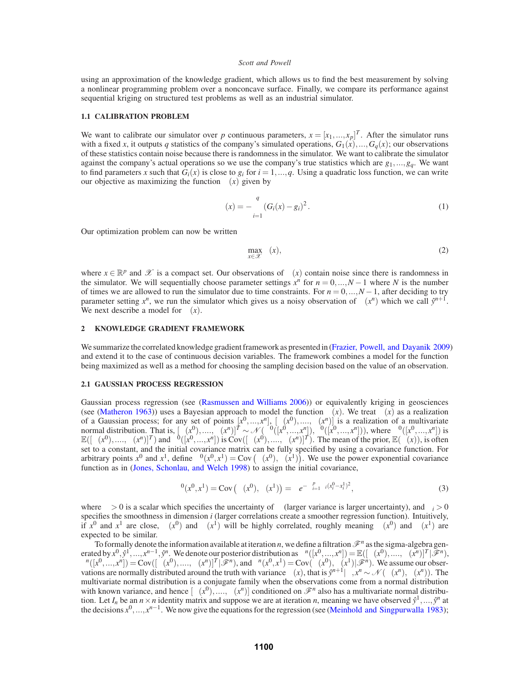using an approximation of the knowledge gradient, which allows us to find the best measurement by solving a nonlinear programming problem over a nonconcave surface. Finally, we compare its performance against sequential kriging on structured test problems as well as an industrial simulator.

### **1.1 CALIBRATION PROBLEM**

We want to calibrate our simulator over *p* continuous parameters,  $x = [x_1, ..., x_p]^T$ . After the simulator runs with a fixed *x*, it outputs *q* statistics of the company's simulated operations,  $G_1(x),...,G_q(x)$ ; our observations of these statistics contain noise because there is randomness in the simulator. We want to calibrate the simulator against the company's actual operations so we use the company's true statistics which are *g*1,...,*gq*. We want to find parameters x such that  $G_i(x)$  is close to  $g_i$  for  $i = 1, ..., q$ . Using a quadratic loss function, we can write our objective as maximizing the function  $\mu(x)$  given by

$$
\mu(x) = -\sum_{i=1}^{q} (G_i(x) - g_i)^2.
$$
\n(1)

Our optimization problem can now be written

$$
\max_{x \in \mathcal{X}} \mu(x),\tag{2}
$$

where  $x \in \mathbb{R}^p$  and X is a compact set. Our observations of  $\mu(x)$  contain noise since there is randomness in the simulator. We will sequentially choose parameter settings  $x^n$  for  $n = 0, ..., N - 1$  where *N* is the number of times we are allowed to run the simulator due to time constraints. For  $n = 0, ..., N - 1$ , after deciding to try parameter setting  $x^n$ , we run the simulator which gives us a noisy observation of  $\mu(x^n)$  which we call  $\hat{y}^{n+1}$ . We next describe a model for  $\mu(x)$ .

### **2 KNOWLEDGE GRADIENT FRAMEWORK**

We summarize the correlated knowledge gradient framework as presented in (Frazier, Powell, and Dayanik 2009) and extend it to the case of continuous decision variables. The framework combines a model for the function being maximized as well as a method for choosing the sampling decision based on the value of an observation.

#### **2.1 GAUSSIAN PROCESS REGRESSION**

Gaussian process regression (see (Rasmussen and Williams 2006)) or equivalently kriging in geosciences (see (Matheron 1963)) uses a Bayesian approach to model the function  $\mu(x)$ . We treat  $\mu(x)$  as a realization of a Gaussian process; for any set of points  $[x^0, ..., x^n]$ ,  $[\mu(x^0), ..., \mu(x^n)]$  is a realization of a multivariate normal distribution. That is,  $[\mu(x^0),..., \mu(x^n)]^T \sim \mathcal{N}(\mu^0([\mathbf{x}^0,...,\mathbf{x}^n]), \Sigma^0([\mathbf{x}^0,...,\mathbf{x}^n]))$ , where  $\mu^0([\mathbf{x}^0,...,\mathbf{x}^n])$  is  $\mathbb{E}([\mu(x^0),...,\mu(x^n)]^T)$  and  $\Sigma^0([\mathbf{x}^0,...,\mathbf{x}^n])$  is  $\text{Cov}([\mu(x^0),...,\mu(x^n)]^T)$ . The mean of th set to a constant, and the initial covariance matrix can be fully specified by using a covariance function. For arbitrary points  $x^0$  and  $x^1$ , define  $\Sigma^0(x^0, x^1) = \text{Cov}(\mu(x^0), \mu(x^1))$ . We use the power exponential covariance function as in (Jones, Schonlau, and Welch 1998) to assign the initial covariance,

$$
\Sigma^{0}(x^{0}, x^{1}) = \text{Cov}(\mu(x^{0}), \mu(x^{1})) = \beta e^{-\sum_{i=1}^{p} \alpha_{i}(x_{i}^{0} - x_{i}^{1})^{2}},
$$
\n(3)

where  $\beta > 0$  is a scalar which specifies the uncertainty of  $\mu$  (larger variance is larger uncertainty), and  $\alpha_i > 0$ specifies the smoothness in dimension *i* (larger correlations create a smoother regression function). Intuitively, if  $x^0$  and  $x^1$  are close,  $\mu(x^0)$  and  $\mu(x^1)$  will be highly correlated, roughly meaning  $\mu(x^0)$  and  $\mu(x^1)$  are expected to be similar.

To formally denote the information available at iteration *n*, we define a filtration  $\mathcal{F}^n$  as the sigma-algebra generated by  $x^0, \hat{y}^1, \ldots, x^{n-1}, \hat{y}^n$ . We denote our posterior distribution as  $\mu^n([x^0, \ldots, x^n]) = \mathbb{E}([\mu(x^0), \ldots, \mu(x^n)]^T | \mathscr{F}^n)$ ,  $\Sigma^{n}([x^{0},...,x^{n}]) = \text{Cov}([\mu(x^{0}),..., \mu(x^{n})]^{T}[\mathscr{F}^{n})$ , and  $\Sigma^{n}(x^{0},x^{1}) = \text{Cov}(\mu(x^{0}),\mu(x^{1})|\mathscr{F}^{n})$ . We assume our observations are normally distributed around the truth with variance  $\lambda(x)$ , that is  $\hat{y}^{n+1}|\mu, x^n \sim \mathcal{N}(\mu(x^n), \lambda(x^n))$ . The multivariate normal distribution is a conjugate family when the observations come from a normal distribution with known variance, and hence  $[\mu(x^0), \ldots, \mu(x^n)]$  conditioned on  $\mathcal{F}^n$  also has a multivariate normal distribution. Let  $I_n$  be an  $n \times n$  identity matrix and suppose we are at iteration *n*, meaning we have observed  $\hat{y}^1, \ldots, \hat{y}^n$  at the decisions  $x^0, ..., x^{n-1}$ . We now give the equations for the regression (see (Meinhold and Singpurwalla 1983);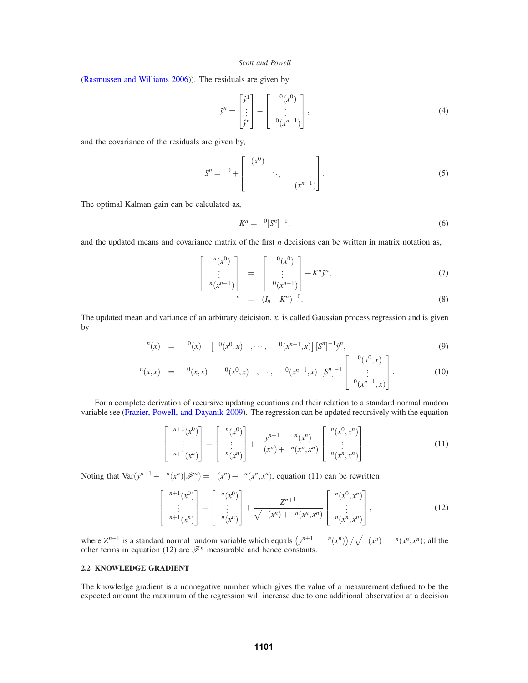(Rasmussen and Williams 2006)). The residuals are given by

$$
\tilde{\mathbf{y}}^n = \begin{bmatrix} \hat{\mathbf{y}}^1 \\ \vdots \\ \hat{\mathbf{y}}^n \end{bmatrix} - \begin{bmatrix} \mu^0(x^0) \\ \vdots \\ \mu^0(x^{n-1}) \end{bmatrix},\tag{4}
$$

and the covariance of the residuals are given by,

$$
S^{n} = \Sigma^{0} + \begin{bmatrix} \lambda(x^{0}) & & \\ & \ddots & \\ & & \lambda(x^{n-1}) \end{bmatrix} . \tag{5}
$$

The optimal Kalman gain can be calculated as,

$$
K^n = \Sigma^0 [S^n]^{-1},\tag{6}
$$

and the updated means and covariance matrix of the first *n* decisions can be written in matrix notation as,

$$
\begin{bmatrix} \mu^n(x^0) \\ \vdots \\ \mu^n(x^{n-1}) \end{bmatrix} = \begin{bmatrix} \mu^0(x^0) \\ \vdots \\ \mu^0(x^{n-1}) \end{bmatrix} + K^n \tilde{\mathbf{y}}^n, \tag{7}
$$

$$
\Sigma^n = (I_n - K^n) \Sigma^0.
$$
\n(8)

The updated mean and variance of an arbitrary deicision, *x*, is called Gaussian process regression and is given by

$$
\mu^{n}(x) = \mu^{0}(x) + \left[\Sigma^{0}(x^{0}, x) , \cdots, \Sigma^{0}(x^{n-1}, x)\right] \left[S^{n}\right]^{-1} \tilde{y}^{n}, \tag{9}
$$

$$
\Sigma^{n}(x,x) = \Sigma^{0}(x,x) - \left[\Sigma^{0}(x^{0},x) , \cdots, \Sigma^{0}(x^{n-1},x)\right] \left[S^{n}\right]^{-1} \begin{bmatrix} \Sigma^{0}(x^{0},x) \\ \vdots \\ \Sigma^{0}(x^{n-1},x) \end{bmatrix} . \tag{10}
$$

For a complete derivation of recursive updating equations and their relation to a standard normal random variable see (Frazier, Powell, and Dayanik 2009). The regression can be updated recursively with the equation

$$
\begin{bmatrix} \mu^{n+1}(x^0) \\ \vdots \\ \mu^{n+1}(x^n) \end{bmatrix} = \begin{bmatrix} \mu^n(x^0) \\ \vdots \\ \mu^n(x^n) \end{bmatrix} + \frac{y^{n+1} - \mu^n(x^n)}{\lambda(x^n) + \Sigma^n(x^n, x^n)} \begin{bmatrix} \Sigma^n(x^0, x^n) \\ \vdots \\ \Sigma^n(x^n, x^n) \end{bmatrix} . \tag{11}
$$

Noting that  $Var(y^{n+1} - \mu^n(x^n)|\mathcal{F}^n) = \lambda(x^n) + \Sigma^n(x^n, x^n)$ , equation (11) can be rewritten

$$
\begin{bmatrix} \mu^{n+1}(x^0) \\ \vdots \\ \mu^{n+1}(x^n) \end{bmatrix} = \begin{bmatrix} \mu^n(x^0) \\ \vdots \\ \mu^n(x^n) \end{bmatrix} + \frac{Z^{n+1}}{\sqrt{\lambda(x^n) + \Sigma^n(x^n, x^n)}} \begin{bmatrix} \Sigma^n(x^0, x^n) \\ \vdots \\ \Sigma^n(x^n, x^n) \end{bmatrix},
$$
(12)

where  $Z^{n+1}$  is a standard normal random variable which equals  $(y^{n+1} - \mu^n(x^n)) / \sqrt{\lambda(x^n) + \Sigma^n(x^n, x^n)}$ ; all the other terms in equation (12) are  $\mathcal{F}^n$  measurable and hence constants.

### **2.2 KNOWLEDGE GRADIENT**

The knowledge gradient is a nonnegative number which gives the value of a measurement defined to be the expected amount the maximum of the regression will increase due to one additional observation at a decision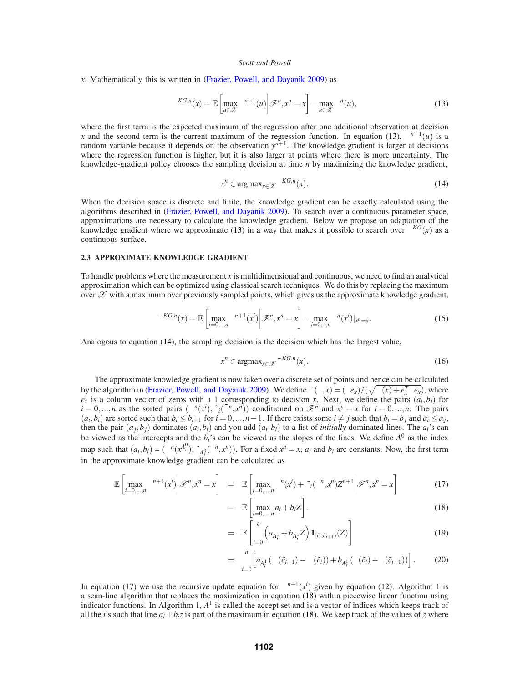*x*. Mathematically this is written in (Frazier, Powell, and Dayanik 2009) as

$$
v^{KG,n}(x) = \mathbb{E}\left[\max_{u \in \mathcal{X}} \mu^{n+1}(u) \middle| \mathcal{F}^n, x^n = x\right] - \max_{u \in \mathcal{X}} \mu^n(u),\tag{13}
$$

where the first term is the expected maximum of the regression after one additional observation at decision *x* and the second term is the current maximum of the regression function. In equation (13),  $\mu^{n+1}(u)$  is a random variable because it depends on the observation  $y^{n+1}$ . The knowledge gradient is larger at decisions where the regression function is higher, but it is also larger at points where there is more uncertainty. The knowledge-gradient policy chooses the sampling decision at time *n* by maximizing the knowledge gradient,

$$
x^n \in \operatorname{argmax}_{x \in \mathcal{X}} v^{KG,n}(x). \tag{14}
$$

When the decision space is discrete and finite, the knowledge gradient can be exactly calculated using the algorithms described in (Frazier, Powell, and Dayanik 2009). To search over a continuous parameter space, approximations are necessary to calculate the knowledge gradient. Below we propose an adaptation of the knowledge gradient where we approximate (13) in a way that makes it possible to search over  $v^{KG}(x)$  as a continuous surface.

## **2.3 APPROXIMATE KNOWLEDGE GRADIENT**

To handle problems where the measurement *x* is multidimensional and continuous, we need to find an analytical approximation which can be optimized using classical search techniques. We do this by replacing the maximum over  $\mathscr X$  with a maximum over previously sampled points, which gives us the approximate knowledge gradient,

$$
\bar{v}^{KG,n}(x) = \mathbb{E}\left[\max_{i=0,\dots,n} \mu^{n+1}(x^i)\middle|\mathcal{F}^n, x^n = x\right] - \max_{i=0,\dots,n} \mu^n(x^i)|_{x^n = x}.\tag{15}
$$

Analogous to equation (14), the sampling decision is the decision which has the largest value,

 $=$ 

$$
x^n \in \operatorname{argmax}_{x \in \mathcal{X}} \bar{v}^{KG,n}(x). \tag{16}
$$

The approximate knowledge gradient is now taken over a discrete set of points and hence can be calculated by the algorithm in (Frazier, Powell, and Dayanik 2009). We define  $\tilde{\sigma}(\Sigma, x) = (\Sigma e_x)/(\sqrt{\lambda(x) + e_x^T \Sigma e_x})$ , where  $e_x$  is a column vector of zeros with a 1 corresponding to decision *x*. Next, we define the pairs  $(a_i, b_i)$  for  $\tilde{u} = 0, ..., n$  as the sorted pairs  $(\mu^n(x^i), \tilde{\sigma}_i(\bar{\Sigma}^n, x^n))$  conditioned on  $\mathcal{F}^n$  and  $x^n = x$  for  $i = 0, ..., n$ . The pairs  $(a_i, b_i)$  are sorted such that  $b_i \leq b_{i+1}$  for  $i = 0, ..., n-1$ . If there exists some  $i \neq j$  such that  $b_i = b_j$  and  $a_i \leq a_j$ , then the pair  $(a_j, b_j)$  dominates  $(a_i, b_i)$  and you add  $(a_i, b_i)$  to a list of *initially* dominated lines. The  $a_i$ 's can be viewed as the intercepts and the *bi*'s can be viewed as the slopes of the lines. We define *A*<sup>0</sup> as the index map such that  $(a_i, b_i) = (\mu^n(x_i^{A_i^0}), \tilde{\sigma}_{A_i^0}(\bar{\Sigma}^n, x^n))$ . For a fixed  $x^n = x$ ,  $a_i$  and  $b_i$  are constants. Now, the first term in the approximate knowledge gradient can be calculated as

$$
\mathbb{E}\left[\max_{i=0,\dots,n}\mu^{n+1}(x^i)\middle|\mathscr{F}^n,x^n=x\right] = \mathbb{E}\left[\max_{i=0,\dots,n}\mu^n(x^i)+\tilde{\sigma}_i(\bar{\Sigma}^n,x^n)Z^{n+1}\middle|\mathscr{F}^n,x^n=x\right]
$$
(17)

$$
\mathbb{E}\left[\max_{i=0,\ldots,n} a_i + b_i Z\right].
$$
\n(18)

$$
= \mathbb{E}\left[\sum_{i=0}^{\tilde{n}}\left(a_{A_i^1} + b_{A_i^1}Z\right)\mathbf{1}_{\left[\tilde{c}_i,\tilde{c}_{i+1}\right)}(Z)\right]
$$
(19)

$$
= \sum_{i=0}^{\tilde{n}} \left[ a_{A_i^1} (\Phi(\tilde{c}_{i+1}) - \Phi(\tilde{c}_i)) + b_{A_i^1} (\phi(\tilde{c}_i) - \phi(\tilde{c}_{i+1})) \right].
$$
 (20)

In equation (17) we use the recursive update equation for  $\mu^{n+1}(x^i)$  given by equation (12). Algorithm 1 is a scan-line algorithm that replaces the maximization in equation (18) with a piecewise linear function using indicator functions. In Algorithm 1,  $A<sup>1</sup>$  is called the accept set and is a vector of indices which keeps track of all the *i*'s such that line  $a_i + b_i z$  is part of the maximum in equation (18). We keep track of the values of *z* where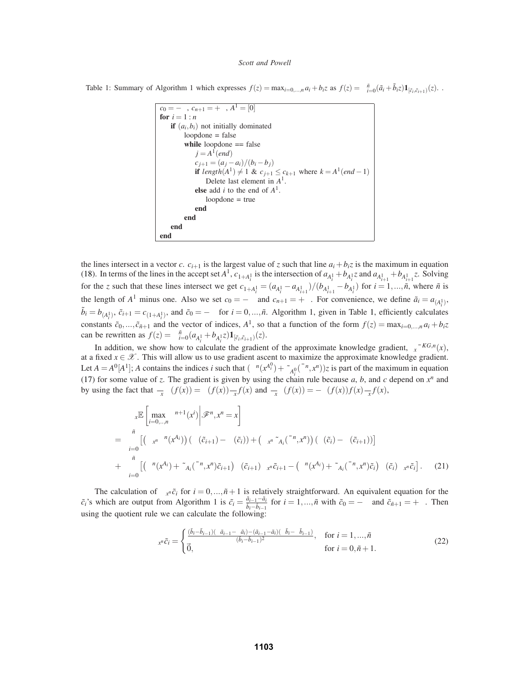Table 1: Summary of Algorithm 1 which expresses  $f(z) = \max_{i=0,\dots,n} a_i + b_i z$  as  $f(z) = \sum_{i=0}^{\tilde{n}} (\tilde{a}_i + \tilde{b}_i z) \mathbf{1}_{[\tilde{c}_i, \tilde{c}_{i+1})}(z)$ .

$$
c_0 = -\infty, c_{n+1} = +\infty, A^1 = [0]
$$
  
\n**for**  $i = 1 : n$   
\n**if**  $(a_i, b_i)$  not initially dominated  
\nloopdone = false  
\n**while** loopdone == false  
\n $j = A^1 (end)$   
\n $c_{j+1} = (a_j - a_i)/(b_i - b_j)$   
\n**if**  $length(A^1) \neq 1 \& c_{j+1} \leq c_{k+1}$  where  $k = A^1 (end - 1)$   
\nDelete last element in  $A^1$ .  
\n**else** add *i* to the end of  $A^1$ .  
\nloopdone = true  
\n**end**  
\n**end**  
\n**end**  
\n**end**  
\n**end**  
\n**end**

the lines intersect in a vector *c*.  $c_{i+1}$  is the largest value of *z* such that line  $a_i + b_i z$  is the maximum in equation (18). In terms of the lines in the accept set  $A^1$ ,  $c_{1+A_i^1}$  is the intersection of  $a_{A_i^1} + b_{A_i^1}$  and  $a_{A_{i+1}^1} + b_{A_{i+1}^1}$  z. Solving for the z such that these lines intersect we get  $c_{1+A_i^1} = (a_{A_i^1} - a_{A_{i+1}^1})/(b_{A_{i+1}^1} - b_{A_i^1})$  for  $i = 1,...,n$ , where  $n$  is the length of  $A^1$  minus one. Also we set  $c_0 = -\infty$  and  $c_{n+1} = +\infty$ . For convenience, we define  $\tilde{a}_i = a_{(A_i^1)}$ ,  $\tilde{b}_i = b_{(A_i^1)}, \tilde{c}_{i+1} = c_{(1+A_i^1)},$  and  $\tilde{c}_0 = -\infty$  for  $i = 0, ..., \tilde{n}$ . Algorithm 1, given in Table 1, efficiently calculates constants  $\tilde{c}_0, \ldots, \tilde{c}_{n+1}$  and the vector of indices,  $A^1$ , so that a function of the form  $f(z) = \max_{i=0,\ldots,n} a_i + b_i z_i$ can be rewritten as  $f(z) = \sum_{i=0}^{n} (a_{A_i^1} + b_{A_i^1} z) \mathbf{1}_{[\tilde{c}_i, \tilde{c}_{i+1})}(z)$ .

In addition, we show how to calculate the gradient of the approximate knowledge gradient,  $\nabla_x \bar{v}^{KG,n}(x)$ , at a fixed  $x \in \mathcal{X}$ . This will allow us to use gradient ascent to maximize the approximate knowledge gradient. Let  $A = A^0[A^1]$ ; *A* contains the indices *i* such that  $(\mu^n(x^{A_i^0}) + \tilde{\sigma}_{A_i^0}(\bar{\Sigma}^n, x^n))z$  is part of the maximum in equation (17) for some value of *z*. The gradient is given by using the chain rule because *a*, *b*, and *c* depend on  $x^n$  and by using the fact that  $\frac{\partial}{\partial x}\Phi(f(x)) = \phi(f(x))\frac{\partial}{\partial x}f(x)$  and  $\frac{\partial}{\partial x}\phi(f(x)) = -\phi(f(x))f(x)\frac{\partial}{\partial x}f(x)$ ,

$$
\nabla_{x} \mathbb{E} \left[ \max_{i=0,\ldots,n} \mu^{n+1}(x^{i}) \middle| \mathcal{F}^{n}, x^{n} = x \right]
$$
\n
$$
= \sum_{i=0}^{\tilde{n}} \left[ \left( \nabla_{x^{n}} \mu^{n}(x^{A_{i}}) \right) \left( \Phi(\tilde{c}_{i+1}) - \Phi(\tilde{c}_{i}) \right) + \left( \nabla_{x^{n}} \tilde{\sigma}_{A_{i}}(\bar{\Sigma}^{n}, x^{n}) \right) \left( \phi(\tilde{c}_{i}) - \phi(\tilde{c}_{i+1}) \right) \right]
$$
\n
$$
+ \sum_{i=0}^{\tilde{n}} \left[ \left( \mu^{n}(x^{A_{i}}) + \tilde{\sigma}_{A_{i}}(\bar{\Sigma}^{n}, x^{n}) \tilde{c}_{i+1} \right) \phi(\tilde{c}_{i+1}) \nabla_{x^{n}} \tilde{c}_{i+1} - \left( \mu^{n}(x^{A_{i}}) + \tilde{\sigma}_{A_{i}}(\bar{\Sigma}^{n}, x^{n}) \tilde{c}_{i} \right) \phi(\tilde{c}_{i}) \nabla_{x^{n}} \tilde{c}_{i} \right]. \tag{21}
$$

The calculation of  $\nabla_{x^n} \tilde{c}_i$  for  $i = 0, ..., \tilde{n} + 1$  is relatively straightforward. An equivalent equation for the  $\tilde{c}_i$ 's which are output from Algorithm 1 is  $\tilde{c}_i = \frac{\tilde{a}_{i-1} - \tilde{a}_i}{\tilde{b}_i - \tilde{b}_{i-1}}$  for  $i = 1, ..., \tilde{n}$  with  $\tilde{c}_0 = -\infty$  and  $\tilde{c}_{\tilde{n}+1} = +\infty$ . Then using the quotient rule we can calculate the following:

$$
\nabla_{x^n}\tilde{c}_i = \begin{cases}\n\frac{(\tilde{b}_i - \tilde{b}_{i-1})(\nabla \tilde{a}_{i-1} - \nabla \tilde{a}_i) - (\tilde{a}_{i-1} - \tilde{a}_i)(\nabla \tilde{b}_i - \nabla \tilde{b}_{i-1})}{(\tilde{b}_i - \tilde{b}_{i-1})^2}, & \text{for } i = 1, ..., \tilde{n} \\
\vec{0}, & \text{for } i = 0, \tilde{n} + 1.\n\end{cases}
$$
\n(22)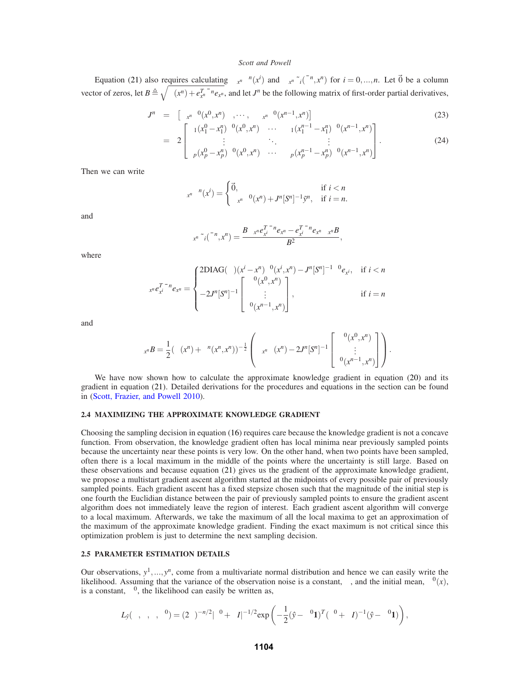Equation (21) also requires calculating  $\nabla_{x^n}\mu^n(x^i)$  and  $\nabla_{x^n}\tilde{\sigma}_i(\bar{\Sigma}^n,x^n)$  for  $i=0,...,n$ . Let  $\vec{0}$  be a column vector of zeros, let  $B \triangleq \sqrt{\lambda(x^n) + e_{x^n}^T \bar{\Sigma}^n e_{x^n}}$ , and let *J*<sup>*n*</sup> be the following matrix of first-order partial derivatives,

$$
J^{n} = \left[ \nabla_{x^{n}} \Sigma^{0}(x^{0}, x^{n}) , \cdots , \nabla_{x^{n}} \Sigma^{0}(x^{n-1}, x^{n}) \right]
$$
\n
$$
-2 \left[ \alpha_{1}(x_{1}^{0} - x_{1}^{n}) \Sigma^{0}(x^{0}, x^{n}) , \cdots , \alpha_{1}(x_{1}^{n-1} - x_{1}^{n}) \Sigma^{0}(x^{n-1}, x^{n}) \right]
$$
\n(23)

$$
= 2\begin{bmatrix} \vdots & \ddots & \vdots \\ \alpha_p(x_p^0 - x_p^n) \Sigma^0(x^0, x^n) & \cdots & \alpha_p(x_p^{n-1} - x_p^n) \Sigma^0(x^{n-1}, x^n) \end{bmatrix} .
$$
 (24)

Then we can write

$$
\nabla_{x^n}\mu^n(x^i) = \begin{cases} \vec{0}, & \text{if } i < n \\ \nabla_{x^n}\mu^0(x^n) + J^n[S^n]^{-1}\tilde{y}^n, & \text{if } i = n. \end{cases}
$$

and

$$
\nabla_{x^n} \tilde{\sigma}_i(\bar{\Sigma}^n, x^n) = \frac{B \nabla_{x^n} e_{x^i}^T \bar{\Sigma}^n e_{x^n} - e_{x^i}^T \bar{\Sigma}^n e_{x^n} \nabla_{x^n} B}{B^2},
$$

where

$$
\nabla_{x^n} e_{x^i}^T \bar{\Sigma}^n e_{x^n} = \begin{cases} 2DIAG(\alpha)(x^i - x^n) \Sigma^0(x^i, x^n) - J^n[S^n]^{-1} \Sigma^0 e_{x^i}, & \text{if } i < n \\ -2J^n[S^n]^{-1} \begin{bmatrix} \Sigma^0(x^0, x^n) \\ \vdots \\ \Sigma^0(x^{n-1}, x^n) \end{bmatrix}, & \text{if } i = n \end{cases}
$$

and

$$
\nabla_{x^n}B = \frac{1}{2}(\lambda(x^n) + \Sigma^n(x^n,x^n))^{-\frac{1}{2}} \left( \nabla_{x^n}\lambda(x^n) - 2J^n[S^n]^{-1} \begin{bmatrix} \Sigma^0(x^0,x^n) \\ \vdots \\ \Sigma^0(x^{n-1},x^n) \end{bmatrix} \right).
$$

We have now shown how to calculate the approximate knowledge gradient in equation (20) and its gradient in equation (21). Detailed derivations for the procedures and equations in the section can be found in (Scott, Frazier, and Powell 2010).

## **2.4 MAXIMIZING THE APPROXIMATE KNOWLEDGE GRADIENT**

Choosing the sampling decision in equation (16) requires care because the knowledge gradient is not a concave function. From observation, the knowledge gradient often has local minima near previously sampled points because the uncertainty near these points is very low. On the other hand, when two points have been sampled, often there is a local maximum in the middle of the points where the uncertainty is still large. Based on these observations and because equation (21) gives us the gradient of the approximate knowledge gradient, we propose a multistart gradient ascent algorithm started at the midpoints of every possible pair of previously sampled points. Each gradient ascent has a fixed stepsize chosen such that the magnitude of the initial step is one fourth the Euclidian distance between the pair of previously sampled points to ensure the gradient ascent algorithm does not immediately leave the region of interest. Each gradient ascent algorithm will converge to a local maximum. Afterwards, we take the maximum of all the local maxima to get an approximation of the maximum of the approximate knowledge gradient. Finding the exact maximum is not critical since this optimization problem is just to determine the next sampling decision.

## **2.5 PARAMETER ESTIMATION DETAILS**

Our observations,  $y^1, ..., y^n$ , come from a multivariate normal distribution and hence we can easily write the likelihood. Assuming that the variance of the observation noise is a constant,  $\lambda$ , and the initial mean,  $\mu^0(x)$ , is a constant,  $\mu^0$ , the likelihood can easily be written as,

$$
L_{\hat{y}}(\alpha,\beta,\lambda,\mu^{0}) = (2\pi)^{-n/2} |\Sigma^{0} + \lambda I|^{-1/2} \exp\left(-\frac{1}{2}(\hat{y} - \mu^{0} \mathbf{1})^{T} (\Sigma^{0} + \lambda I)^{-1} (\hat{y} - \mu^{0} \mathbf{1})\right),
$$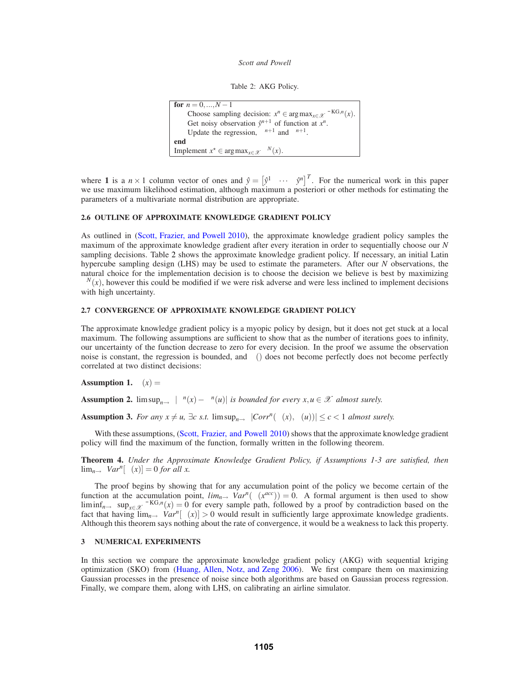```
Table 2: AKG Policy.
```

```
for n = 0, ..., N - 1Choose sampling decision: x^n \in \arg \max_{x \in \mathcal{X}} \overline{v}^{\text{KG},n}(x).
      Get noisy observation \hat{y}^{n+1} of function at x^n.
      Update the regression, \mu^{n+1} and \Sigma^{n+1}.
end
Implement x^* \in \arg \max_{x \in \mathcal{X}} \mu^N(x).
```
where **1** is a  $n \times 1$  column vector of ones and  $\hat{y} = \begin{bmatrix} \hat{y}^1 & \cdots & \hat{y}^n \end{bmatrix}^T$ . For the numerical work in this paper we use maximum likelihood estimation, although maximum a posteriori or other methods for estimating the parameters of a multivariate normal distribution are appropriate.

## **2.6 OUTLINE OF APPROXIMATE KNOWLEDGE GRADIENT POLICY**

As outlined in (Scott, Frazier, and Powell 2010), the approximate knowledge gradient policy samples the maximum of the approximate knowledge gradient after every iteration in order to sequentially choose our *N* sampling decisions. Table 2 shows the approximate knowledge gradient policy. If necessary, an initial Latin hypercube sampling design (LHS) may be used to estimate the parameters. After our *N* observations, the natural choice for the implementation decision is to choose the decision we believe is best by maximizing  $\mu^N(x)$ , however this could be modified if we were risk adverse and were less inclined to implement decisions with high uncertainty.

## **2.7 CONVERGENCE OF APPROXIMATE KNOWLEDGE GRADIENT POLICY**

The approximate knowledge gradient policy is a myopic policy by design, but it does not get stuck at a local maximum. The following assumptions are sufficient to show that as the number of iterations goes to infinity, our uncertainty of the function decrease to zero for every decision. In the proof we assume the observation noise is constant, the regression is bounded, and  $\mu$ () does not become perfectly does not become perfectly correlated at two distinct decisions:

**Assumption 1.**  $\lambda(x) = \lambda$ 

**Assumption 2.** limsup<sub>*n*→∞</sub>  $|\mu^n(x) - \mu^n(u)|$  *is bounded for every x,u*  $\in \mathcal{X}$  *almost surely.* 

**Assumption 3.** *For any*  $x \neq u$ *,*  $\exists c$  *s.t.* limsup<sub>*n*→∞</sub>  $|Corr^n(\mu(x), \mu(u))| \leq c < 1$  *almost surely.* 

With these assumptions, (Scott, Frazier, and Powell 2010) shows that the approximate knowledge gradient policy will find the maximum of the function, formally written in the following theorem.

**Theorem 4.** *Under the Approximate Knowledge Gradient Policy, if Assumptions 1-3 are satisfied, then*  $\lim_{n\to\infty}$  *Var<sup>n</sup>*[ $\mu(x)$ ] = 0 *for all x*.

The proof begins by showing that for any accumulation point of the policy we become certain of the function at the accumulation point,  $\lim_{n\to\infty} \frac{Var^n(\mu(x^{acc}))}{=0}$ . A formal argument is then used to show  $\liminf_{n\to\infty} \sup_{x\in\mathcal{X}} \bar{v}^{\text{KG},n}(x) = 0$  for every sample path, followed by a proof by contradiction based on the fact that having  $\lim_{n\to\infty} Var^n[\mu(x)] > 0$  would result in sufficiently large approximate knowledge gradients. Although this theorem says nothing about the rate of convergence, it would be a weakness to lack this property.

# **3 NUMERICAL EXPERIMENTS**

In this section we compare the approximate knowledge gradient policy (AKG) with sequential kriging optimization (SKO) from (Huang, Allen, Notz, and Zeng 2006). We first compare them on maximizing Gaussian processes in the presence of noise since both algorithms are based on Gaussian process regression. Finally, we compare them, along with LHS, on calibrating an airline simulator.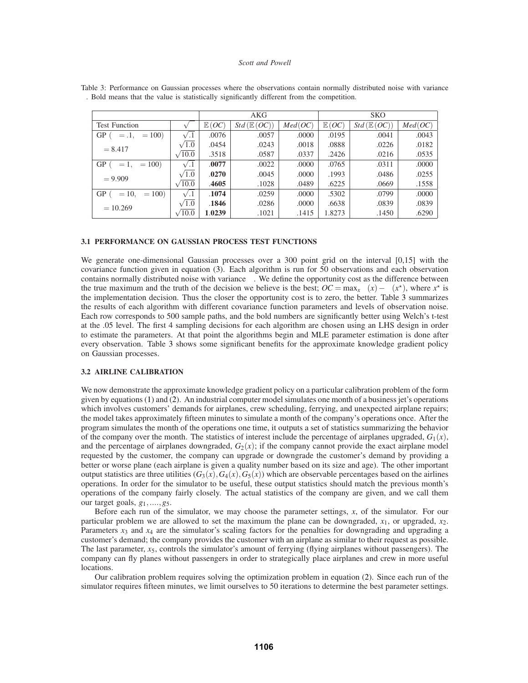|                                   |                  | AKG    |                       |         | <b>SKO</b> |                       |         |
|-----------------------------------|------------------|--------|-----------------------|---------|------------|-----------------------|---------|
| <b>Test Function</b>              | $\sqrt{\lambda}$ | E(OC)  | $Std(\mathbb{E}(OC))$ | Med(OC) | E(OC)      | $Std(\mathbb{E}(OC))$ | Med(OC) |
| GP ( $\alpha = .1, \beta = 100$ ) | $\sqrt{.1}$      | .0076  | .0057                 | .0000   | .0195      | .0041                 | .0043   |
| $\sigma = 8.417$                  | $\sqrt{1.0}$     | .0454  | .0243                 | .0018   | .0888      | .0226                 | .0182   |
|                                   | $\sqrt{10.0}$    | .3518  | .0587                 | .0337   | .2426      | .0216                 | .0535   |
| GP $(\alpha = 1, \beta = 100)$    | $\sqrt{.1}$      | .0077  | .0022                 | .0000   | .0765      | .0311                 | .0000   |
| $\sigma = 9.909$                  | $\sqrt{1.0}$     | .0270  | .0045                 | .0000   | .1993      | .0486                 | .0255   |
|                                   | $\sqrt{10.0}$    | .4605  | .1028                 | .0489   | .6225      | .0669                 | .1558   |
| GP ( $\alpha = 10, \beta = 100$ ) |                  | .1074  | .0259                 | .0000   | .5302      | .0799                 | .0000   |
| $\sigma = 10.269$                 | $\sqrt{1.0}$     | .1846  | .0286                 | .0000   | .6638      | .0839                 | .0839   |
|                                   | $\sqrt{10.0}$    | 1.0239 | .1021                 | .1415   | 1.8273     | .1450                 | .6290   |

Table 3: Performance on Gaussian processes where the observations contain normally distributed noise with variance  $\lambda$ . Bold means that the value is statistically significantly different from the competition.

### **3.1 PERFORMANCE ON GAUSSIAN PROCESS TEST FUNCTIONS**

We generate one-dimensional Gaussian processes over a 300 point grid on the interval [0,15] with the covariance function given in equation (3). Each algorithm is run for 50 observations and each observation contains normally distributed noise with variance  $\lambda$ . We define the opportunity cost as the difference between the true maximum and the truth of the decision we believe is the best;  $OC = \max_x \mu(x) - \mu(x^*)$ , where  $x^*$  is the implementation decision. Thus the closer the opportunity cost is to zero, the better. Table 3 summarizes the results of each algorithm with different covariance function parameters and levels of observation noise. Each row corresponds to 500 sample paths, and the bold numbers are significantly better using Welch's t-test at the .05 level. The first 4 sampling decisions for each algorithm are chosen using an LHS design in order to estimate the parameters. At that point the algorithms begin and MLE parameter estimation is done after every observation. Table 3 shows some significant benefits for the approximate knowledge gradient policy on Gaussian processes.

# **3.2 AIRLINE CALIBRATION**

We now demonstrate the approximate knowledge gradient policy on a particular calibration problem of the form given by equations (1) and (2). An industrial computer model simulates one month of a business jet's operations which involves customers' demands for airplanes, crew scheduling, ferrying, and unexpected airplane repairs; the model takes approximately fifteen minutes to simulate a month of the company's operations once. After the program simulates the month of the operations one time, it outputs a set of statistics summarizing the behavior of the company over the month. The statistics of interest include the percentage of airplanes upgraded,  $G_1(x)$ , and the percentage of airplanes downgraded,  $G_2(x)$ ; if the company cannot provide the exact airplane model requested by the customer, the company can upgrade or downgrade the customer's demand by providing a better or worse plane (each airplane is given a quality number based on its size and age). The other important output statistics are three utilities  $(G_3(x), G_4(x), G_5(x))$  which are observable percentages based on the airlines operations. In order for the simulator to be useful, these output statistics should match the previous month's operations of the company fairly closely. The actual statistics of the company are given, and we call them our target goals, *g*1,....,*g*5.

Before each run of the simulator, we may choose the parameter settings, *x*, of the simulator. For our particular problem we are allowed to set the maximum the plane can be downgraded,  $x_1$ , or upgraded,  $x_2$ . Parameters  $x_3$  and  $x_4$  are the simulator's scaling factors for the penalties for downgrading and upgrading a customer's demand; the company provides the customer with an airplane as similar to their request as possible. The last parameter,  $x_5$ , controls the simulator's amount of ferrying (flying airplanes without passengers). The company can fly planes without passengers in order to strategically place airplanes and crew in more useful locations.

Our calibration problem requires solving the optimization problem in equation (2). Since each run of the simulator requires fifteen minutes, we limit ourselves to 50 iterations to determine the best parameter settings.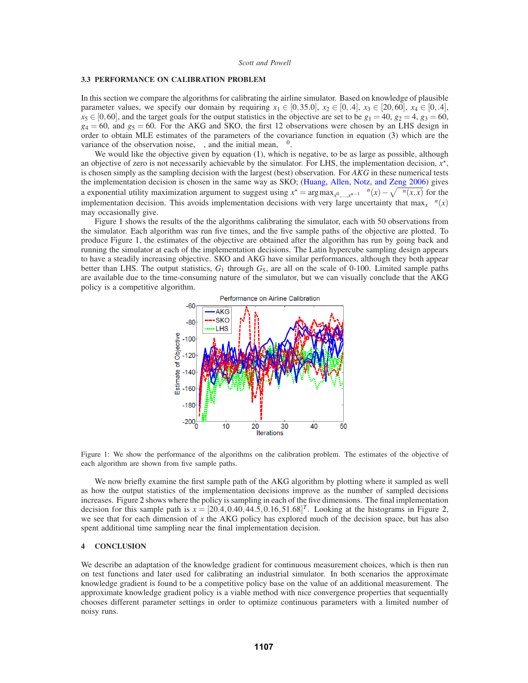#### **3.3 PERFORMANCE ON CALIBRATION PROBLEM**

In this section we compare the algorithms for calibrating the airline simulator. Based on knowledge of plausible parameter values, we specify our domain by requiring  $x_1 \in [0, 35.0]$ ,  $x_2 \in [0, 4]$ ,  $x_3 \in [20, 60]$ ,  $x_4 \in [0, 4]$ ,  $x_5 \in [0,60]$ , and the target goals for the output statistics in the objective are set to be  $g_1 = 40$ ,  $g_2 = 4$ ,  $g_3 = 60$ ,  $g_4 = 60$ , and  $g_5 = 60$ . For the AKG and SKO, the first 12 observations were chosen by an LHS design in order to obtain MLE estimates of the parameters of the covariance function in equation (3) which are the variance of the observation noise,  $\lambda$ , and the initial mean,  $\mu^0$ .

We would like the objective given by equation (1), which is negative, to be as large as possible, although an objective of zero is not necessarily achievable by the simulator. For LHS, the implementation decision,  $x^*$ , is chosen simply as the sampling decision with the largest (best) observation. For *AKG* in these numerical tests the implementation decision is chosen in the same way as SKO; (Huang, Allen, Notz, and Zeng 2006) gives a exponential utility maximization argument to suggest using  $x^* = \arg \max_{x^0, \dots, x^{n-1}} \mu^n(x) - \sqrt{\sum^n (x, x)}$  for the implementation decision. This avoids implementation decisions with very large uncertainty that  $\max_x \mu^n(x)$ may occasionally give.

Figure 1 shows the results of the the algorithms calibrating the simulator, each with 50 observations from the simulator. Each algorithm was run five times, and the five sample paths of the objective are plotted. To produce Figure 1, the estimates of the objective are obtained after the algorithm has run by going back and running the simulator at each of the implementation decisions. The Latin hypercube sampling design appears to have a steadily increasing objective. SKO and AKG have similar performances, although they both appear better than LHS. The output statistics,  $G_1$  through  $G_5$ , are all on the scale of 0-100. Limited sample paths are available due to the time-consuming nature of the simulator, but we can visually conclude that the AKG policy is a competitive algorithm.



Figure 1: We show the performance of the algorithms on the calibration problem. The estimates of the objective of each algorithm are shown from five sample paths.

We now briefly examine the first sample path of the AKG algorithm by plotting where it sampled as well as how the output statistics of the implementation decisions improve as the number of sampled decisions increases. Figure 2 shows where the policy is sampling in each of the five dimensions. The final implementation decision for this sample path is  $x = [20.4, 0.40, 44.5, 0.16, 51.68]^T$ . Looking at the histograms in Figure 2, we see that for each dimension of *x* the AKG policy has explored much of the decision space, but has also spent additional time sampling near the final implementation decision.

# **4 CONCLUSION**

We describe an adaptation of the knowledge gradient for continuous measurement choices, which is then run on test functions and later used for calibrating an industrial simulator. In both scenarios the approximate knowledge gradient is found to be a competitive policy base on the value of an additional measurement. The approximate knowledge gradient policy is a viable method with nice convergence properties that sequentially chooses different parameter settings in order to optimize continuous parameters with a limited number of noisy runs.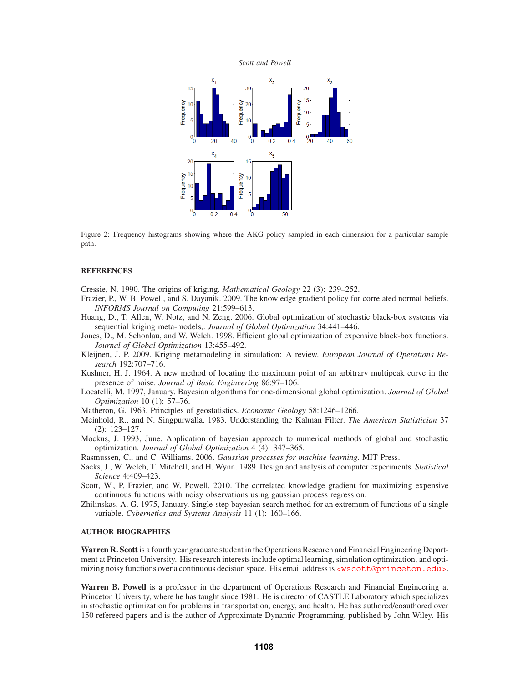

Figure 2: Frequency histograms showing where the AKG policy sampled in each dimension for a particular sample path.

# **REFERENCES**

Cressie, N. 1990. The origins of kriging. *Mathematical Geology* 22 (3): 239–252.

- Frazier, P., W. B. Powell, and S. Dayanik. 2009. The knowledge gradient policy for correlated normal beliefs. *INFORMS Journal on Computing* 21:599–613.
- Huang, D., T. Allen, W. Notz, and N. Zeng. 2006. Global optimization of stochastic black-box systems via sequential kriging meta-models,. *Journal of Global Optimization* 34:441–446.
- Jones, D., M. Schonlau, and W. Welch. 1998. Efficient global optimization of expensive black-box functions. *Journal of Global Optimization* 13:455–492.
- Kleijnen, J. P. 2009. Kriging metamodeling in simulation: A review. *European Journal of Operations Research* 192:707–716.
- Kushner, H. J. 1964. A new method of locating the maximum point of an arbitrary multipeak curve in the presence of noise. *Journal of Basic Engineering* 86:97–106.
- Locatelli, M. 1997, January. Bayesian algorithms for one-dimensional global optimization. *Journal of Global Optimization* 10 (1): 57–76.
- Matheron, G. 1963. Principles of geostatistics. *Economic Geology* 58:1246–1266.
- Meinhold, R., and N. Singpurwalla. 1983. Understanding the Kalman Filter. *The American Statistician* 37 (2): 123–127.
- Mockus, J. 1993, June. Application of bayesian approach to numerical methods of global and stochastic optimization. *Journal of Global Optimization* 4 (4): 347–365.
- Rasmussen, C., and C. Williams. 2006. *Gaussian processes for machine learning*. MIT Press.
- Sacks, J., W. Welch, T. Mitchell, and H. Wynn. 1989. Design and analysis of computer experiments. *Statistical Science* 4:409–423.
- Scott, W., P. Frazier, and W. Powell. 2010. The correlated knowledge gradient for maximizing expensive continuous functions with noisy observations using gaussian process regression.
- Zhilinskas, A. G. 1975, January. Single-step bayesian search method for an extremum of functions of a single variable. *Cybernetics and Systems Analysis* 11 (1): 160–166.

## **AUTHOR BIOGRAPHIES**

**Warren R. Scott** is a fourth year graduate student in the Operations Research and Financial Engineering Department at Princeton University. His research interests include optimal learning, simulation optimization, and optimizing noisy functions over a continuous decision space. His email address is <wscott@princeton.edu>.

**Warren B. Powell** is a professor in the department of Operations Research and Financial Engineering at Princeton University, where he has taught since 1981. He is director of CASTLE Laboratory which specializes in stochastic optimization for problems in transportation, energy, and health. He has authored/coauthored over 150 refereed papers and is the author of Approximate Dynamic Programming, published by John Wiley. His